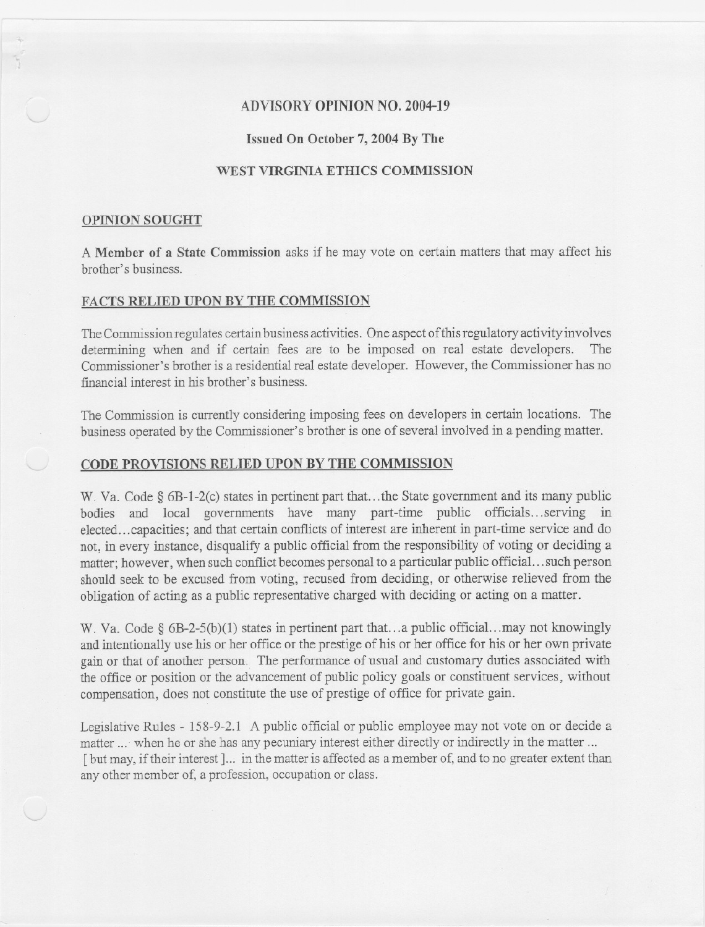## ADVISORY OPINION NO. 2004-19

## Issued On October 7, 2004 By The

### WEST VIRGINIA ETHICS COMMISSION

#### OPINION SOUGHT

A Member of a State Commission asks if he may vote on certain matters that may affect his brother's business.

## FACTS RELIED UPON BY THE COMMISSION

The Commission regulates certain business activities. One aspect of this regulatory activity involves determining when and if certain fees are to be imposed on real estate developers. The Commissioner's brother is a residential real estate developer. However, the Commissioner has no financial interest in his brother's business.

The Commission is currently considering imposing fees on developers in certain locations. The business operated by the Commissioner's brother is one of several involved in a pending matter.

### CODE PROVISIONS RELIED UPON BY THE COMMISSION

W. Va. Code § 6B-1-2(c) states in pertinent part that...the State government and its many public bodies and local governments have many part-time public officials.. .serving in elected...capacities; and that certain conflicts of interest are inherent in part-time service and do not, in every instance, disqualify a public official from the responsibility of voting or deciding a matter; however, when such conflict becomes personal to a particular public official...such person should seek to be excused from voting, recused from deciding, or otherwise relieved from the obligation of acting as a public representative charged with deciding or acting on a matter.

W. Va. Code §  $6B-2-5(b)(1)$  states in pertinent part that...a public official...may not knowingly and intentionally use his or her office or the prestige of his or her office for his or her own private gain or that of another person. The performance of usual and customary duties associated with the office or position or the advancement of public policy goals or constituent services, without compensation, does not constitute the use of prestige of office for private gain.

Legislative Rules - 158-9-2.1 A public official or public employee may not vote on or decide a matter ... when he or she has any pecuniary interest either directly or indirectly in the matter ... [but may, if their interest]... in the matter is affected as a member of, and to no greater extent than any other member of, a profession, occupation or class.